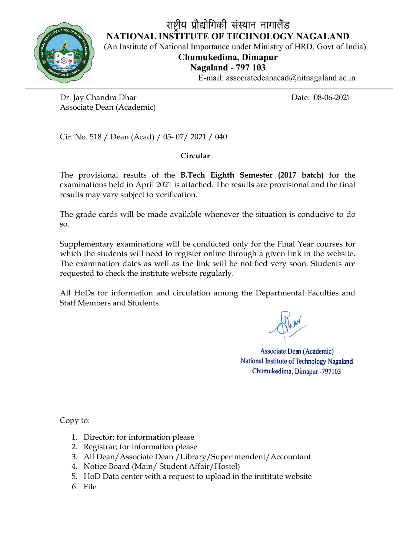

# राष्ट्रीय प्रौद्योगिकी संस्थान नागालैंड NATIONAL INSTITUTE OF TECHNOLOGY NAGALAND (An Institute of National Importance under Ministry of HRD, Govt of India) Chumukedima, Dimapur Nagaland - 797 103

E-mail: associatedeanacad@nitnagaland.ac.in

Dr. Jay Chandra Dhar Date: 08-06-2021 Associate Dean (Academic)

Cir. No. 518 / Dean (Acad) / 05- 07/ 2021 / 040

# Circular

The provisional results of the B.Tech Eighth Semester (2017 batch) for the examinations held in April 2021 is attached. The results are provisional and the final results may vary subject to verification.

The grade cards will be made available whenever the situation is conducive to do so.

Supplementary examinations will be conducted only for the Final Year courses for which the students will need to register online through a given link in the website. The examination dates as well as the link will be notified very soon. Students are requested to check the institute website regularly.

All HoDs for information and circulation among the Departmental Faculties and Staff Members and Students.

**Associate Dean (Academic)** National Institute of Technology Nagaland Chumukedima, Dimapur -797103

Copy to:

- 1. Director; for information please
- 2. Registrar; for information please
- 3. All Dean/Associate Dean /Library/Superintendent/Accountant
- 4. Notice Board (Main/ Student Affair/Hostel)
- 5. HoD Data center with a request to upload in the institute website
- 6. File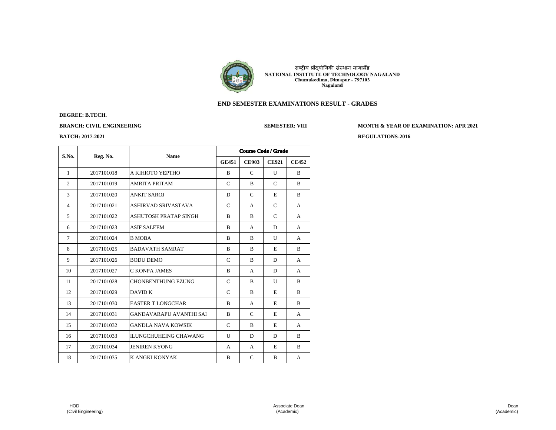

# **END SEMESTER EXAMINATIONS RESULT - GRADES**

# **DEGREE: B.TECH.**

**BRANCH: CIVIL ENGINEERING SEMESTER: VIII MONTH & YEAR OF EXAMINATION: APR 2021** 

| S.No.          | Reg. No.   | <b>Name</b>                  |               | <b>Course Code / Grade</b> |               |              |  |  |  |
|----------------|------------|------------------------------|---------------|----------------------------|---------------|--------------|--|--|--|
|                |            |                              | <b>GE451</b>  | <b>CE903</b>               | <b>CE921</b>  | <b>CE452</b> |  |  |  |
| $\mathbf{1}$   | 2017101018 | А КІНІОТО ҮЕРТНО             | B             | C                          | U             | B            |  |  |  |
| $\overline{2}$ | 2017101019 | <b>AMRITA PRITAM</b>         | $\mathcal{C}$ | B                          | $\mathcal{C}$ | B            |  |  |  |
| 3              | 2017101020 | <b>ANKIT SAROJ</b>           | D             | $\mathcal{C}$              | E             | B            |  |  |  |
| $\overline{4}$ | 2017101021 | <b>ASHIRVAD SRIVASTAVA</b>   | C             | A                          | C             | A            |  |  |  |
| 5              | 2017101022 | <b>ASHUTOSH PRATAP SINGH</b> | B             | B                          | $\mathcal{C}$ | A            |  |  |  |
| 6              | 2017101023 | <b>ASIF SALEEM</b>           | B             | A                          | D             | A            |  |  |  |
| 7              | 2017101024 | <b>B MOBA</b>                | B             | B                          | U             | A            |  |  |  |
| 8              | 2017101025 | <b>BADAVATH SAMRAT</b>       | B             | B                          | E             | B            |  |  |  |
| 9              | 2017101026 | <b>BODU DEMO</b>             | $\mathcal{C}$ | B                          | D             | A            |  |  |  |
| 10             | 2017101027 | C KONPA JAMES                | B             | A                          | D             | A            |  |  |  |
| 11             | 2017101028 | <b>CHONBENTHUNG EZUNG</b>    | $\mathcal{C}$ | B                          | $\mathbf{U}$  | B            |  |  |  |
| 12             | 2017101029 | <b>DAVID K</b>               | $\mathcal{C}$ | B                          | E             | B            |  |  |  |
| 13             | 2017101030 | <b>EASTER T LONGCHAR</b>     | B             | A                          | E             | B            |  |  |  |
| 14             | 2017101031 | GANDAVARAPU AVANTHI SAI      | B             | $\mathcal{C}$              | E             | A            |  |  |  |
| 15             | 2017101032 | <b>GANDLA NAVA KOWSIK</b>    | $\mathcal{C}$ | B                          | E             | A            |  |  |  |
| 16             | 2017101033 | <b>ILUNGCHUHEING CHAWANG</b> | U             | D                          | D             | B            |  |  |  |
| 17             | 2017101034 | <b>JENIREN KYONG</b>         | A             | A                          | E             | B            |  |  |  |
| 18             | 2017101035 | K ANGKI KONYAK               | B             | C                          | B             | A            |  |  |  |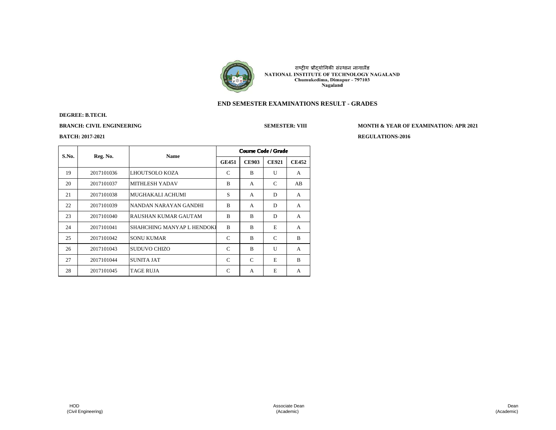

# **END SEMESTER EXAMINATIONS RESULT - GRADES**

# **DEGREE: B.TECH.**

**BRANCH: CIVIL ENGINEERING SEMESTER: VIII MONTH & YEAR OF EXAMINATION: APR 2021** 

| S.No. | Reg. No.   |                            | <b>Course Code / Grade</b><br><b>Name</b> |              |              |              |  |
|-------|------------|----------------------------|-------------------------------------------|--------------|--------------|--------------|--|
|       |            |                            | <b>GE451</b>                              | <b>CE903</b> | <b>CE921</b> | <b>CE452</b> |  |
| 19    | 2017101036 | LHOUTSOLO KOZA             | C                                         | B            | U            | $\mathsf{A}$ |  |
| 20    | 2017101037 | <b>MITHLESH YADAV</b>      | B                                         | $\mathsf{A}$ | C            | AB           |  |
| 21    | 2017101038 | MUGHAKALI ACHUMI           | S                                         | A            | D            | $\mathsf{A}$ |  |
| 22    | 2017101039 | NANDAN NARAYAN GANDHI      | B                                         | A            | D            | $\mathsf{A}$ |  |
| 23    | 2017101040 | RAUSHAN KUMAR GAUTAM       | B                                         | B            | D            | $\mathsf{A}$ |  |
| 24    | 2017101041 | SHAHCHING MANYAP L HENDOKI | B                                         | B            | E            | $\mathsf{A}$ |  |
| 25    | 2017101042 | <b>SONU KUMAR</b>          | C                                         | B            | C            | B            |  |
| 26    | 2017101043 | SUDUVO CHIZO               | C                                         | B            | U            | $\mathsf{A}$ |  |
| 27    | 2017101044 | <b>SUNITA JAT</b>          | C                                         | C            | E            | B            |  |
| 28    | 2017101045 | <b>TAGE RUJA</b>           | C                                         | A            | E            | A            |  |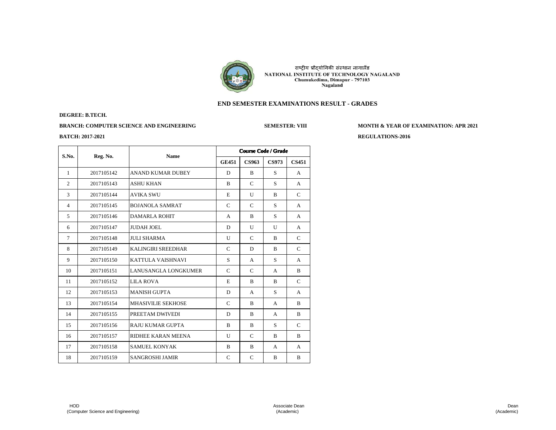

# **END SEMESTER EXAMINATIONS RESULT - GRADES**

### **DEGREE: B.TECH.**

**BRANCH: COMPUTER SCIENCE AND ENGINEERING SEMESTER: VIII MONTH & YEAR OF EXAMINATION: APR 2021**

**BATCH: 2017-2021 REGULATIONS-2016**

| S.No.          | Reg. No.   | <b>Name</b>               |               |               | <b>Course Code / Grade</b> |               |  |
|----------------|------------|---------------------------|---------------|---------------|----------------------------|---------------|--|
|                |            |                           | <b>GE451</b>  | <b>CS963</b>  | <b>CS973</b>               | <b>CS451</b>  |  |
| $\mathbf{1}$   | 2017105142 | <b>ANAND KUMAR DUBEY</b>  | D             | B             | S                          | A             |  |
| $\overline{c}$ | 2017105143 | <b>ASHU KHAN</b>          | B             | $\mathcal{C}$ | S                          | A             |  |
| 3              | 2017105144 | <b>AVIKA SWU</b>          | E             | $\mathbf{U}$  | B                          | $\mathcal{C}$ |  |
| $\overline{4}$ | 2017105145 | <b>BOJANOLA SAMRAT</b>    | $\mathcal{C}$ | $\mathcal{C}$ | S                          | A             |  |
| 5              | 2017105146 | <b>DAMARLA ROHIT</b>      | A             | B             | S                          | $\mathsf{A}$  |  |
| 6              | 2017105147 | <b>JUDAH JOEL</b>         | D             | $\mathbf{U}$  | $\mathbf{U}$               | A             |  |
| $\tau$         | 2017105148 | <b>JULI SHARMA</b>        | U             | $\mathcal{C}$ | B                          | C             |  |
| 8              | 2017105149 | <b>KALINGIRI SREEDHAR</b> | C             | D             | B                          | C             |  |
| 9              | 2017105150 | <b>KATTULA VAISHNAVI</b>  | S             | A             | S                          | A             |  |
| 10             | 2017105151 | LANUSANGLA LONGKUMER      | C             | C             | A                          | B             |  |
| 11             | 2017105152 | <b>LILA ROVA</b>          | E             | B             | B                          | $\mathcal{C}$ |  |
| 12             | 2017105153 | <b>MANISH GUPTA</b>       | D             | A             | S                          | A             |  |
| 13             | 2017105154 | <b>MHASIVILIE SEKHOSE</b> | $\mathbf C$   | B             | A                          | B             |  |
| 14             | 2017105155 | PREETAM DWIVEDI           | D             | B             | A                          | B             |  |
| 15             | 2017105156 | RAJU KUMAR GUPTA          | B             | B             | S                          | C             |  |
| 16             | 2017105157 | RIDHEE KARAN MEENA        | U             | $\mathcal{C}$ | B                          | B             |  |
| 17             | 2017105158 | <b>SAMUEL KONYAK</b>      | B             | B             | A                          | A             |  |
| 18             | 2017105159 | <b>SANGROSHI JAMIR</b>    | $\mathsf{C}$  | $\mathcal{C}$ | B                          | B             |  |

 HOD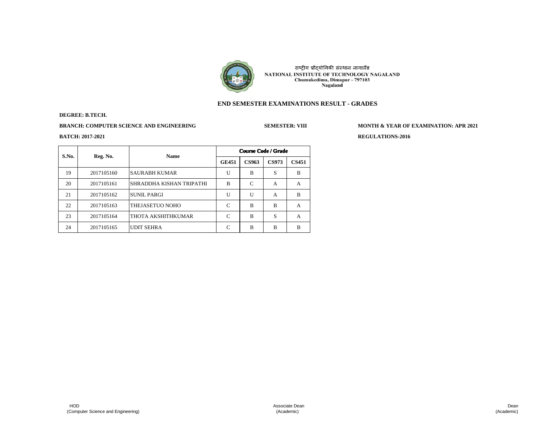

# **END SEMESTER EXAMINATIONS RESULT - GRADES**

### **DEGREE: B.TECH.**

**BRANCH: COMPUTER SCIENCE AND ENGINEERING SEMESTER: VIII MONTH & YEAR OF EXAMINATION: APR 2021**

|       | Reg. No.   | <b>Name</b>               | <b>Course Code / Grade</b> |              |              |              |  |
|-------|------------|---------------------------|----------------------------|--------------|--------------|--------------|--|
| S.No. |            |                           | <b>GE451</b>               | <b>CS963</b> | <b>CS973</b> | <b>CS451</b> |  |
| 19    | 2017105160 | <b>SAURABH KUMAR</b>      | U                          | B            | S            | B            |  |
| 20    | 2017105161 | ISHRADDHA KISHAN TRIPATHI | B                          | C            | A            | A            |  |
| 21    | 2017105162 | <b>SUNIL PARGI</b>        | U                          | U            | A            | B            |  |
| 22    | 2017105163 | THEJASETUO NOHO           | C                          | R            | B            | A            |  |
| 23    | 2017105164 | THOTA AKSHITHKUMAR        | C                          | B            | S            | A            |  |
| 24    | 2017105165 | <b>UDIT SEHRA</b>         | C                          | B            | B            | R            |  |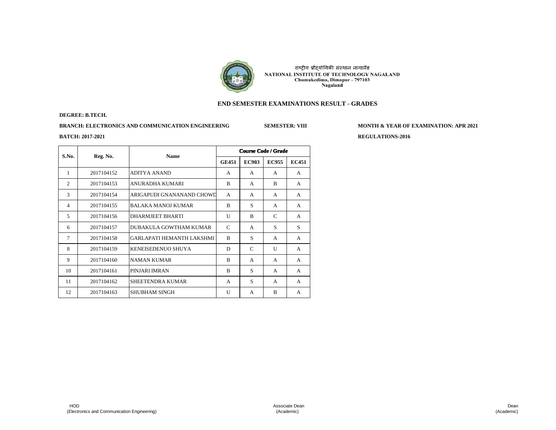

# **END SEMESTER EXAMINATIONS RESULT - GRADES**

#### **DEGREE: B.TECH.**

**BRANCH: ELECTRONICS AND COMMUNICATION ENGINEERING SEMESTER: VIII MONTH & YEAR OF EXAMINATION: APR 2021**

| S.No.          | <b>Name</b><br>Reg. No. |                                  | <b>Course Code / Grade</b> |               |              |                |  |
|----------------|-------------------------|----------------------------------|----------------------------|---------------|--------------|----------------|--|
|                |                         |                                  | <b>GE451</b>               | <b>EC903</b>  | <b>EC955</b> | <b>EC451</b>   |  |
| 1              | 2017104152              | <b>ADITYA ANAND</b>              | A                          | $\mathsf{A}$  | A            | $\mathsf{A}$   |  |
| $\overline{c}$ | 2017104153              | ANURADHA KUMARI                  | B                          | A             | B            | A              |  |
| 3              | 2017104154              | ARIGAPUDI GNANANAND CHOWD        | A                          | A             | A            | $\mathsf{A}$   |  |
| $\overline{4}$ | 2017104155              | <b>BALAKA MANOJ KUMAR</b>        | B                          | S             | A            | $\mathsf{A}$   |  |
| 5              | 2017104156              | <b>DHARMJEET BHARTI</b>          | $\mathbf{U}$               | B             | C            | A              |  |
| 6              | 2017104157              | DUBAKULA GOWTHAM KUMAR           | C                          | A             | S            | S              |  |
| $\overline{7}$ | 2017104158              | <b>GARLAPATI HEMANTH LAKSHMI</b> | B                          | S             | A            | $\overline{A}$ |  |
| 8              | 2017104159              | KENEISEDENUO SHUYA               | D                          | $\mathcal{C}$ | $\mathbf{U}$ | A              |  |
| 9              | 2017104160              | <b>NAMAN KUMAR</b>               | B                          | A             | A            | $\mathsf{A}$   |  |
| 10             | 2017104161              | PINJARI IMRAN                    | B                          | S             | A            | A              |  |
| 11             | 2017104162              | SHEETENDRA KUMAR                 | A                          | S             | A            | A              |  |
| 12             | 2017104163              | <b>SHUBHAM SINGH</b>             | U                          | A             | B            | A              |  |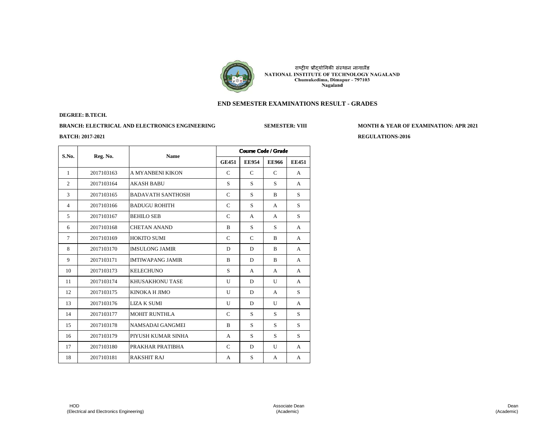

# **END SEMESTER EXAMINATIONS RESULT - GRADES**

#### **DEGREE: B.TECH.**

# **BRANCH: ELECTRICAL AND ELECTRONICS ENGINEERING SEMESTER: VIII MONTH & YEAR OF EXAMINATION: APR 2021**

| S.No.          |            | <b>Name</b>              | <b>Course Code / Grade</b> |               |              |              |  |
|----------------|------------|--------------------------|----------------------------|---------------|--------------|--------------|--|
|                | Reg. No.   |                          | <b>GE451</b>               | <b>EE954</b>  | <b>EE966</b> | <b>EE451</b> |  |
| 1              | 2017103163 | A MYANBENI KIKON         | C                          | C             | C            | A            |  |
| $\overline{2}$ | 2017103164 | <b>AKASH BABU</b>        | S                          | S             | S            | A            |  |
| 3              | 2017103165 | <b>BADAVATH SANTHOSH</b> | C                          | S             | B            | S            |  |
| $\overline{4}$ | 2017103166 | <b>BADUGU ROHITH</b>     | $\mathcal{C}$              | S             | A            | S            |  |
| 5              | 2017103167 | <b>BEHILO SEB</b>        | $\mathcal{C}$              | A             | A            | S            |  |
| 6              | 2017103168 | <b>CHETAN ANAND</b>      | B                          | S             | S            | A            |  |
| 7              | 2017103169 | <b>HOKITO SUMI</b>       | C                          | $\mathcal{C}$ | B            | A            |  |
| 8              | 2017103170 | <b>IMSULONG JAMIR</b>    | D                          | D             | B            | A            |  |
| 9              | 2017103171 | <b>IMTIWAPANG JAMIR</b>  | B                          | D             | B            | A            |  |
| 10             | 2017103173 | <b>KELECHUNO</b>         | S                          | $\mathsf{A}$  | A            | $\mathsf{A}$ |  |
| 11             | 2017103174 | <b>KHUSAKHONU TASE</b>   | U                          | D             | U            | A            |  |
| 12             | 2017103175 | KINOKA H JIMO            | $\mathbf{U}$               | D             | A            | S            |  |
| 13             | 2017103176 | <b>LIZA K SUMI</b>       | $\mathbf{U}$               | D             | $\mathbf{U}$ | A            |  |
| 14             | 2017103177 | <b>MOHIT RUNTHLA</b>     | C                          | S             | S            | S            |  |
| 15             | 2017103178 | NAMSADAI GANGMEI         | B                          | S             | S            | S            |  |
| 16             | 2017103179 | PIYUSH KUMAR SINHA       | A                          | S             | S            | S            |  |
| 17             | 2017103180 | PRAKHAR PRATIBHA         | $\mathcal{C}$              | D             | U            | A            |  |
| 18             | 2017103181 | <b>RAKSHIT RAJ</b>       | A                          | S             | A            | A            |  |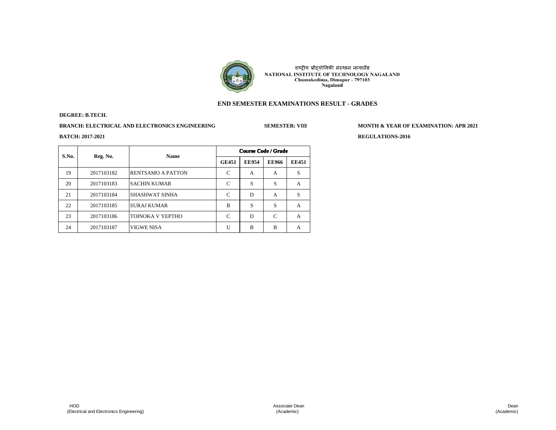

# **END SEMESTER EXAMINATIONS RESULT - GRADES**

### **DEGREE: B.TECH.**

# **BRANCH: ELECTRICAL AND ELECTRONICS ENGINEERING SEMESTER: VIII MONTH & YEAR OF EXAMINATION: APR 2021**

| S.No. | Reg. No.   | <b>Name</b>              | <b>Course Code / Grade</b> |              |              |              |  |
|-------|------------|--------------------------|----------------------------|--------------|--------------|--------------|--|
|       |            |                          | <b>GE451</b>               | <b>EE954</b> | <b>EE966</b> | <b>EE451</b> |  |
| 19    | 2017103182 | <b>RENTSAMO A PATTON</b> | C                          | A            | A            | S            |  |
| 20    | 2017103183 | <b>SACHIN KUMAR</b>      | C                          | S            | S            | A            |  |
| 21    | 2017103184 | <b>SHASHWAT SINHA</b>    | C                          | D            | A            | S            |  |
| 22    | 2017103185 | <b>SURAJ KUMAR</b>       | B                          | S            | S            | A            |  |
| 23    | 2017103186 | ITOINOKA V YEPTHO        | C                          | D            | C            | A            |  |
| 24    | 2017103187 | <b>VIGWE NISA</b>        | U                          | B            | B            | A            |  |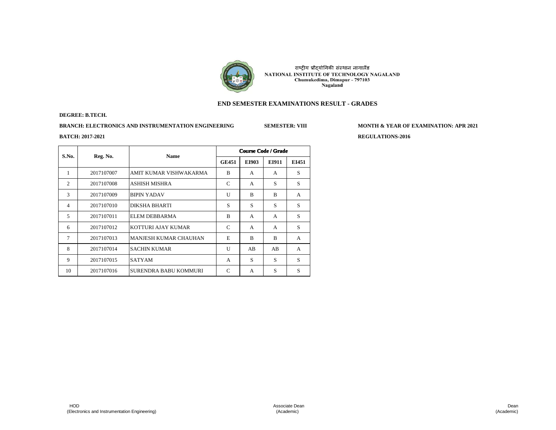

# **END SEMESTER EXAMINATIONS RESULT - GRADES**

### **DEGREE: B.TECH.**

**BRANCH: ELECTRONICS AND INSTRUMENTATION ENGINEERING SEMESTER: VIII MONTH & YEAR OF EXAMINATION: APR 2021**

| S.No.          |            | <b>Name</b><br>Reg. No.      | <b>Course Code / Grade</b> |       |       |              |  |  |
|----------------|------------|------------------------------|----------------------------|-------|-------|--------------|--|--|
|                |            |                              | <b>GE451</b>               | EI903 | EI911 | EI451        |  |  |
| 1              | 2017107007 | AMIT KUMAR VISHWAKARMA       | B                          | A     | A     | S            |  |  |
| 2              | 2017107008 | ASHISH MISHRA                | C                          | A     | S     | S            |  |  |
| 3              | 2017107009 | <b>BIPIN YADAV</b>           | U                          | B     | B     | $\mathsf{A}$ |  |  |
| $\overline{4}$ | 2017107010 | <b>DIKSHA BHARTI</b>         | S                          | S     | S     | S            |  |  |
| 5              | 2017107011 | <b>ELEM DEBBARMA</b>         | B                          | A     | A     | S            |  |  |
| 6              | 2017107012 | KOTTURI AJAY KUMAR           | C                          | A     | A     | S            |  |  |
| $\tau$         | 2017107013 | <b>MANJESH KUMAR CHAUHAN</b> | E                          | B     | B     | $\mathsf{A}$ |  |  |
| 8              | 2017107014 | <b>SACHIN KUMAR</b>          | U                          | AB    | AB    | $\mathsf{A}$ |  |  |
| 9              | 2017107015 | <b>SATYAM</b>                | A                          | S     | S     | S            |  |  |
| 10             | 2017107016 | SURENDRA BABU KOMMURI        | C                          | A     | S     | S            |  |  |